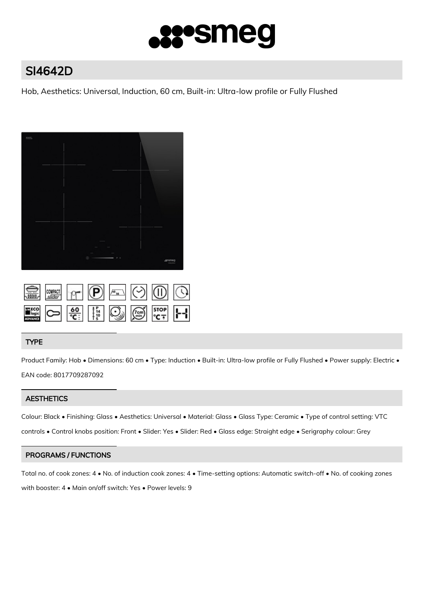

# SI4642D

Hob, Aesthetics: Universal, Induction, 60 cm, Built-in: Ultra-low profile or Fully Flushed



|  |  | SI STE P 9 4 0 0 0 |  |
|--|--|--------------------|--|
|  |  |                    |  |

# TYPE

Product Family: Hob • Dimensions: 60 cm • Type: Induction • Built-in: Ultra-low profile or Fully Flushed • Power supply: Electric • EAN code: 8017709287092

# **AESTHETICS**

Colour: Black • Finishing: Glass • Aesthetics: Universal • Material: Glass • Glass Type: Ceramic • Type of control setting: VTC controls • Control knobs position: Front • Slider: Yes • Slider: Red • Glass edge: Straight edge • Serigraphy colour: Grey

# PROGRAMS / FUNCTIONS

Total no. of cook zones: 4 • No. of induction cook zones: 4 • Time-setting options: Automatic switch-off • No. of cooking zones with booster: 4 • Main on/off switch: Yes • Power levels: 9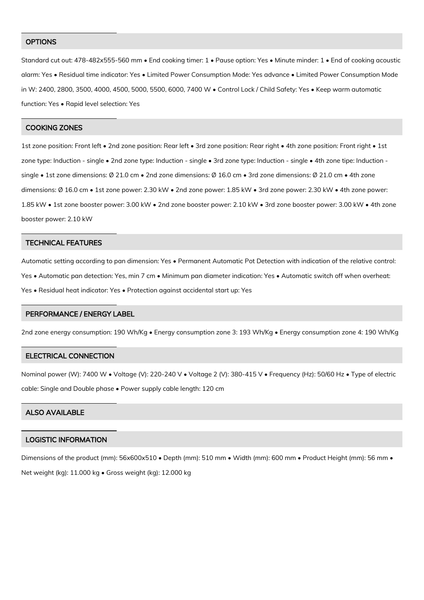### **OPTIONS**

Standard cut out: 478-482x555-560 mm • End cooking timer: 1 • Pause option: Yes • Minute minder: 1 • End of cooking acoustic alarm: Yes • Residual time indicator: Yes • Limited Power Consumption Mode: Yes advance • Limited Power Consumption Mode in W: 2400, 2800, 3500, 4000, 4500, 5000, 5500, 6000, 7400 W • Control Lock / Child Safety: Yes • Keep warm automatic function: Yes • Rapid level selection: Yes

#### COOKING ZONES

1st zone position: Front left • 2nd zone position: Rear left • 3rd zone position: Rear right • 4th zone position: Front right • 1st zone type: Induction - single • 2nd zone type: Induction - single • 3rd zone type: Induction - single • 4th zone tipe: Induction single • 1st zone dimensions: Ø 21.0 cm • 2nd zone dimensions: Ø 16.0 cm • 3rd zone dimensions: Ø 21.0 cm • 4th zone dimensions: Ø 16.0 cm • 1st zone power: 2.30 kW • 2nd zone power: 1.85 kW • 3rd zone power: 2.30 kW • 4th zone power: 1.85 kW • 1st zone booster power: 3.00 kW • 2nd zone booster power: 2.10 kW • 3rd zone booster power: 3.00 kW • 4th zone booster power: 2.10 kW

#### TECHNICAL FEATURES

Automatic setting according to pan dimension: Yes • Permanent Automatic Pot Detection with indication of the relative control: Yes • Automatic pan detection: Yes, min 7 cm • Minimum pan diameter indication: Yes • Automatic switch off when overheat: Yes • Residual heat indicator: Yes • Protection against accidental start up: Yes

#### PERFORMANCE / ENERGY LABEL

2nd zone energy consumption: 190 Wh/Kg • Energy consumption zone 3: 193 Wh/Kg • Energy consumption zone 4: 190 Wh/Kg

#### ELECTRICAL CONNECTION

Nominal power (W): 7400 W • Voltage (V): 220-240 V • Voltage 2 (V): 380-415 V • Frequency (Hz): 50/60 Hz • Type of electric cable: Single and Double phase • Power supply cable length: 120 cm

# ALSO AVAILABLE

## LOGISTIC INFORMATION

Dimensions of the product (mm): 56x600x510 • Depth (mm): 510 mm • Width (mm): 600 mm • Product Height (mm): 56 mm • Net weight (kg): 11.000 kg • Gross weight (kg): 12.000 kg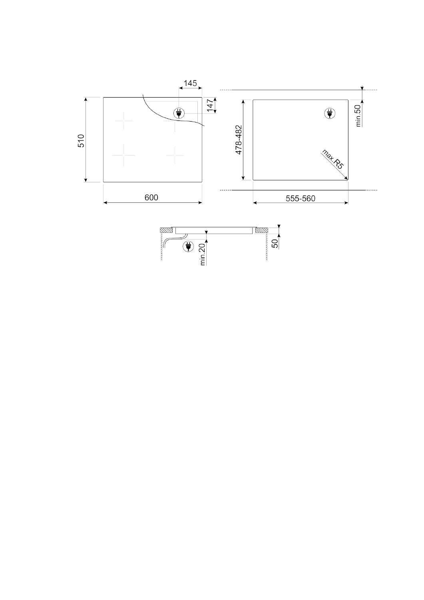